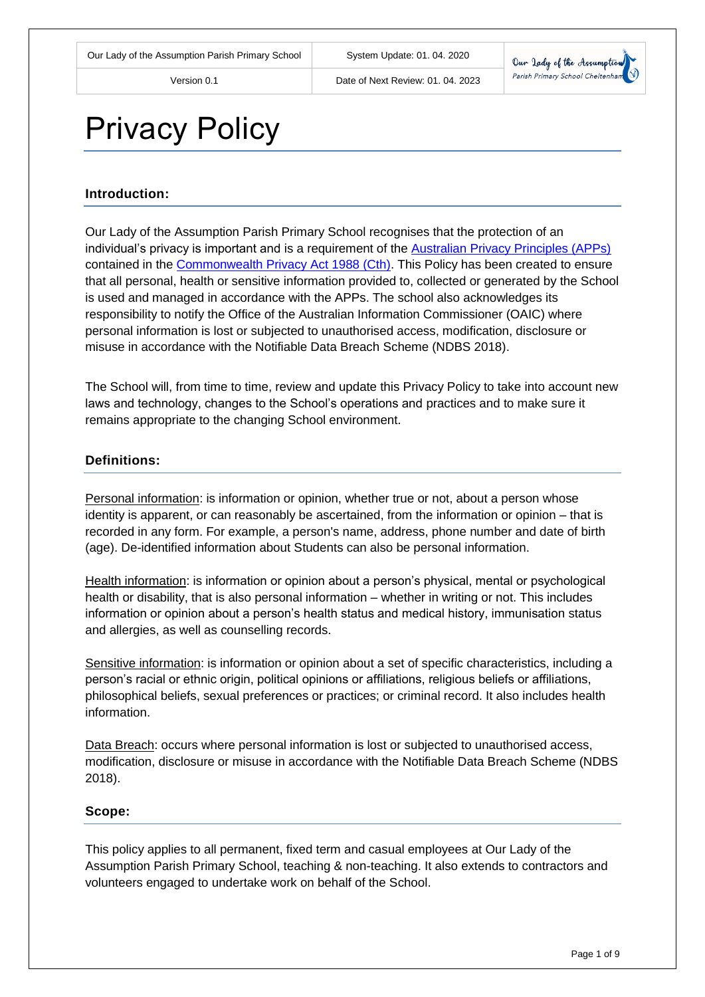

# Privacy Policy

# **Introduction:**

Our Lady of the Assumption Parish Primary School recognises that the protection of an individual's privacy is important and is a requirement of the [Australian Privacy Principles \(APPs\)](https://www.oaic.gov.au/privacy-law/privacy-act/australian-privacy-principles) contained in the [Commonwealth Privacy Act 1988 \(Cth\).](http://www8.austlii.edu.au/cgi-bin/viewdb/au/legis/cth/consol_act/pa1988108/) This Policy has been created to ensure that all personal, health or sensitive information provided to, collected or generated by the School is used and managed in accordance with the APPs. The school also acknowledges its responsibility to notify the Office of the Australian Information Commissioner (OAIC) where personal information is lost or subjected to unauthorised access, modification, disclosure or misuse in accordance with the Notifiable Data Breach Scheme (NDBS 2018).

The School will, from time to time, review and update this Privacy Policy to take into account new laws and technology, changes to the School's operations and practices and to make sure it remains appropriate to the changing School environment.

# **Definitions:**

Personal information: is information or opinion, whether true or not, about a person whose identity is apparent, or can reasonably be ascertained, from the information or opinion – that is recorded in any form. For example, a person's name, address, phone number and date of birth (age). De-identified information about Students can also be personal information.

Health information: is information or opinion about a person's physical, mental or psychological health or disability, that is also personal information – whether in writing or not. This includes information or opinion about a person's health status and medical history, immunisation status and allergies, as well as counselling records.

Sensitive information: is information or opinion about a set of specific characteristics, including a person's racial or ethnic origin, political opinions or affiliations, religious beliefs or affiliations, philosophical beliefs, sexual preferences or practices; or criminal record. It also includes health information.

Data Breach: occurs where personal information is lost or subjected to unauthorised access, modification, disclosure or misuse in accordance with the Notifiable Data Breach Scheme (NDBS 2018).

#### **Scope:**

This policy applies to all permanent, fixed term and casual employees at Our Lady of the Assumption Parish Primary School, teaching & non-teaching. It also extends to contractors and volunteers engaged to undertake work on behalf of the School.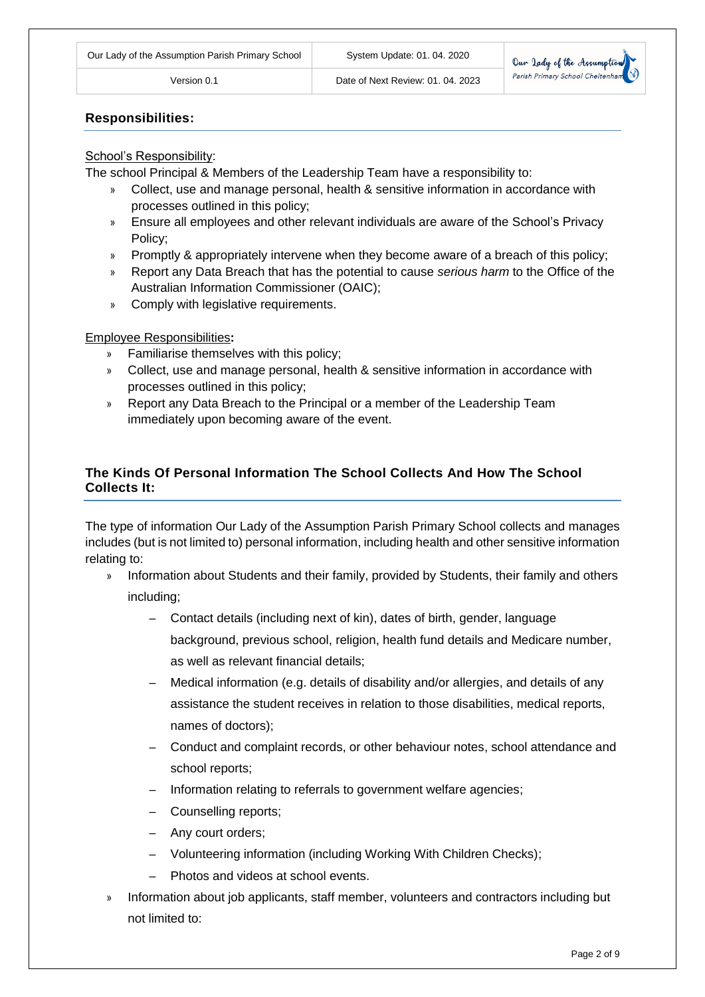

# **Responsibilities:**

#### School's Responsibility:

The school Principal & Members of the Leadership Team have a responsibility to:

- » Collect, use and manage personal, health & sensitive information in accordance with processes outlined in this policy;
- » Ensure all employees and other relevant individuals are aware of the School's Privacy Policy;
- » Promptly & appropriately intervene when they become aware of a breach of this policy;
- » Report any Data Breach that has the potential to cause *serious harm* to the Office of the Australian Information Commissioner (OAIC);
- » Comply with legislative requirements.

### Employee Responsibilities**:**

- » Familiarise themselves with this policy;
- » Collect, use and manage personal, health & sensitive information in accordance with processes outlined in this policy;
- » Report any Data Breach to the Principal or a member of the Leadership Team immediately upon becoming aware of the event.

# **The Kinds Of Personal Information The School Collects And How The School Collects It:**

The type of information Our Lady of the Assumption Parish Primary School collects and manages includes (but is not limited to) personal information, including health and other sensitive information relating to:

- » Information about Students and their family, provided by Students, their family and others including;
	- ‒ Contact details (including next of kin), dates of birth, gender, language background, previous school, religion, health fund details and Medicare number, as well as relevant financial details;
	- ‒ Medical information (e.g. details of disability and/or allergies, and details of any assistance the student receives in relation to those disabilities, medical reports, names of doctors);
	- ‒ Conduct and complaint records, or other behaviour notes, school attendance and school reports;
	- Information relating to referrals to government welfare agencies;
	- ‒ Counselling reports;
	- ‒ Any court orders;
	- ‒ Volunteering information (including Working With Children Checks);
	- ‒ Photos and videos at school events.
- » Information about job applicants, staff member, volunteers and contractors including but not limited to: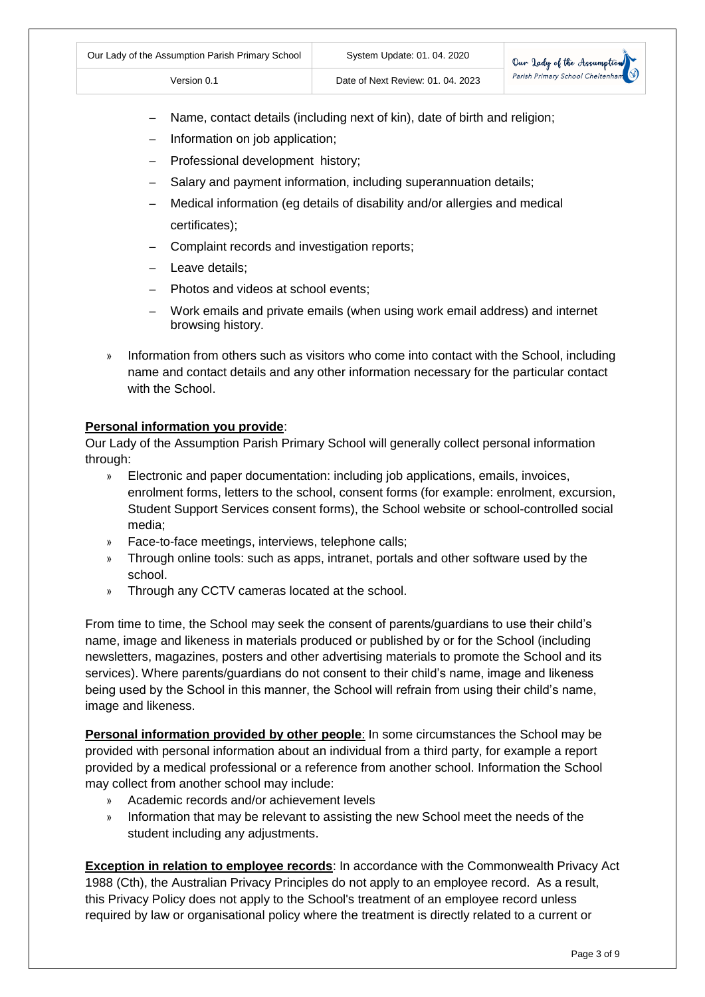Name, contact details (including next of kin), date of birth and religion;

Version 0.1 Date of Next Review: 01. 04. 2023

- ‒ Information on job application;
- ‒ Professional development history;
- Salary and payment information, including superannuation details;
- ‒ Medical information (eg details of disability and/or allergies and medical certificates);
- ‒ Complaint records and investigation reports;
- ‒ Leave details;
- ‒ Photos and videos at school events;
- ‒ Work emails and private emails (when using work email address) and internet browsing history.
- » Information from others such as visitors who come into contact with the School, including name and contact details and any other information necessary for the particular contact with the School.

#### **Personal information you provide**:

Our Lady of the Assumption Parish Primary School will generally collect personal information through:

- » Electronic and paper documentation: including job applications, emails, invoices, enrolment forms, letters to the school, consent forms (for example: enrolment, excursion, Student Support Services consent forms), the School website or school-controlled social media;
- » Face-to-face meetings, interviews, telephone calls;
- » Through online tools: such as apps, intranet, portals and other software used by the school.
- » Through any CCTV cameras located at the school.

From time to time, the School may seek the consent of parents/guardians to use their child's name, image and likeness in materials produced or published by or for the School (including newsletters, magazines, posters and other advertising materials to promote the School and its services). Where parents/guardians do not consent to their child's name, image and likeness being used by the School in this manner, the School will refrain from using their child's name, image and likeness.

**Personal information provided by other people**: In some circumstances the School may be provided with personal information about an individual from a third party, for example a report provided by a medical professional or a reference from another school. Information the School may collect from another school may include:

- » Academic records and/or achievement levels
- » Information that may be relevant to assisting the new School meet the needs of the student including any adjustments.

**Exception in relation to employee records**: In accordance with the Commonwealth Privacy Act 1988 (Cth), the Australian Privacy Principles do not apply to an employee record. As a result, this Privacy Policy does not apply to the School's treatment of an employee record unless required by law or organisational policy where the treatment is directly related to a current or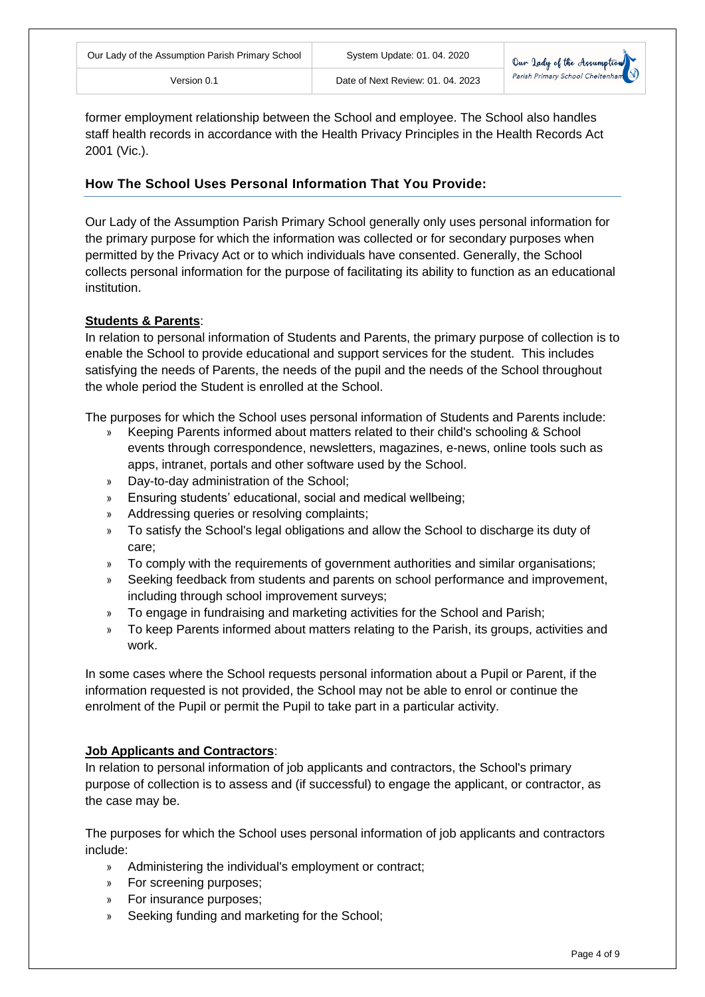

former employment relationship between the School and employee. The School also handles staff health records in accordance with the Health Privacy Principles in the Health Records Act 2001 (Vic.).

# **How The School Uses Personal Information That You Provide:**

Our Lady of the Assumption Parish Primary School generally only uses personal information for the primary purpose for which the information was collected or for secondary purposes when permitted by the Privacy Act or to which individuals have consented. Generally, the School collects personal information for the purpose of facilitating its ability to function as an educational institution.

#### **Students & Parents**:

In relation to personal information of Students and Parents, the primary purpose of collection is to enable the School to provide educational and support services for the student. This includes satisfying the needs of Parents, the needs of the pupil and the needs of the School throughout the whole period the Student is enrolled at the School.

The purposes for which the School uses personal information of Students and Parents include:

- » Keeping Parents informed about matters related to their child's schooling & School events through correspondence, newsletters, magazines, e-news, online tools such as apps, intranet, portals and other software used by the School.
- » Day-to-day administration of the School;
- » Ensuring students' educational, social and medical wellbeing;
- » Addressing queries or resolving complaints;
- » To satisfy the School's legal obligations and allow the School to discharge its duty of care;
- » To comply with the requirements of government authorities and similar organisations;
- » Seeking feedback from students and parents on school performance and improvement, including through school improvement surveys;
- » To engage in fundraising and marketing activities for the School and Parish;
- » To keep Parents informed about matters relating to the Parish, its groups, activities and work.

In some cases where the School requests personal information about a Pupil or Parent, if the information requested is not provided, the School may not be able to enrol or continue the enrolment of the Pupil or permit the Pupil to take part in a particular activity.

# **Job Applicants and Contractors**:

In relation to personal information of job applicants and contractors, the School's primary purpose of collection is to assess and (if successful) to engage the applicant, or contractor, as the case may be.

The purposes for which the School uses personal information of job applicants and contractors include:

- » Administering the individual's employment or contract;
- » For screening purposes;
- » For insurance purposes;
- Seeking funding and marketing for the School;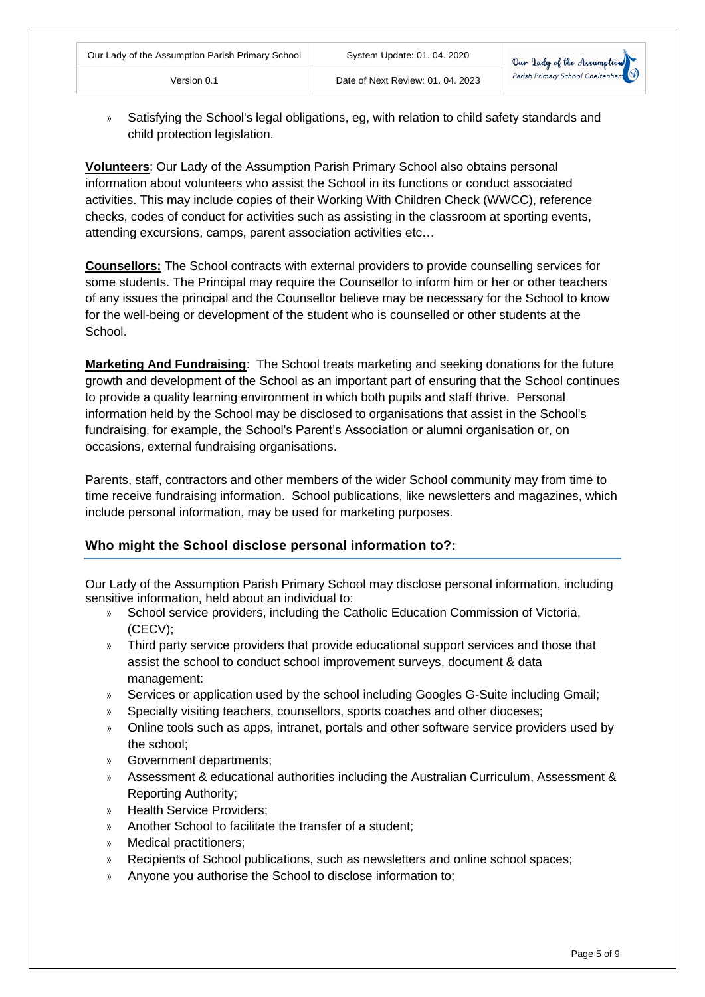» Satisfying the School's legal obligations, eg, with relation to child safety standards and child protection legislation.

Version 0.1 Date of Next Review: 01. 04. 2023

**Volunteers**: Our Lady of the Assumption Parish Primary School also obtains personal information about volunteers who assist the School in its functions or conduct associated activities. This may include copies of their Working With Children Check (WWCC), reference checks, codes of conduct for activities such as assisting in the classroom at sporting events, attending excursions, camps, parent association activities etc…

**Counsellors:** The School contracts with external providers to provide counselling services for some students. The Principal may require the Counsellor to inform him or her or other teachers of any issues the principal and the Counsellor believe may be necessary for the School to know for the well-being or development of the student who is counselled or other students at the School.

**Marketing And Fundraising**: The School treats marketing and seeking donations for the future growth and development of the School as an important part of ensuring that the School continues to provide a quality learning environment in which both pupils and staff thrive. Personal information held by the School may be disclosed to organisations that assist in the School's fundraising, for example, the School's Parent's Association or alumni organisation or, on occasions, external fundraising organisations.

Parents, staff, contractors and other members of the wider School community may from time to time receive fundraising information. School publications, like newsletters and magazines, which include personal information, may be used for marketing purposes.

# **Who might the School disclose personal information to?:**

Our Lady of the Assumption Parish Primary School may disclose personal information, including sensitive information, held about an individual to:

- » School service providers, including the Catholic Education Commission of Victoria, (CECV);
- » Third party service providers that provide educational support services and those that assist the school to conduct school improvement surveys, document & data management:
- » Services or application used by the school including Googles G-Suite including Gmail;
- » Specialty visiting teachers, counsellors, sports coaches and other dioceses;
- » Online tools such as apps, intranet, portals and other software service providers used by the school;
- » Government departments;
- » Assessment & educational authorities including the Australian Curriculum, Assessment & Reporting Authority;
- » Health Service Providers;
- » Another School to facilitate the transfer of a student;
- » Medical practitioners;
- » Recipients of School publications, such as newsletters and online school spaces;
- » Anyone you authorise the School to disclose information to;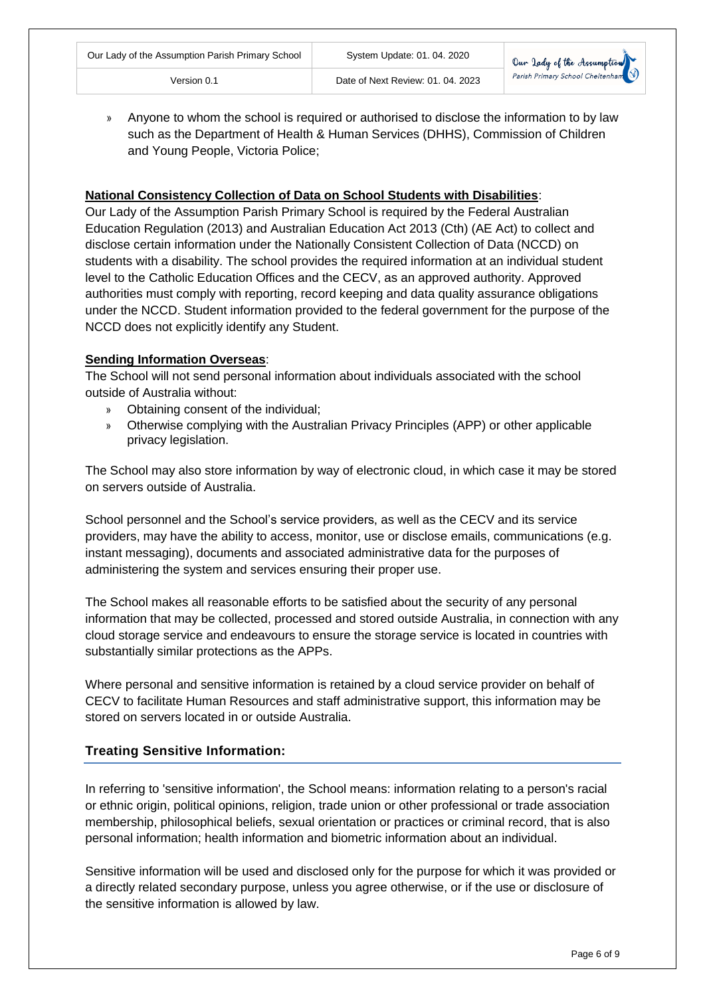

» Anyone to whom the school is required or authorised to disclose the information to by law such as the Department of Health & Human Services (DHHS), Commission of Children and Young People, Victoria Police;

#### **National Consistency Collection of Data on School Students with Disabilities**:

Our Lady of the Assumption Parish Primary School is required by the Federal Australian Education Regulation (2013) and Australian Education Act 2013 (Cth) (AE Act) to collect and disclose certain information under the Nationally Consistent Collection of Data (NCCD) on students with a disability. The school provides the required information at an individual student level to the Catholic Education Offices and the CECV, as an approved authority. Approved authorities must comply with reporting, record keeping and data quality assurance obligations under the NCCD. Student information provided to the federal government for the purpose of the NCCD does not explicitly identify any Student.

#### **Sending Information Overseas**:

The School will not send personal information about individuals associated with the school outside of Australia without:

- » Obtaining consent of the individual;
- » Otherwise complying with the Australian Privacy Principles (APP) or other applicable privacy legislation.

The School may also store information by way of electronic cloud, in which case it may be stored on servers outside of Australia.

School personnel and the School's service providers, as well as the CECV and its service providers, may have the ability to access, monitor, use or disclose emails, communications (e.g. instant messaging), documents and associated administrative data for the purposes of administering the system and services ensuring their proper use.

The School makes all reasonable efforts to be satisfied about the security of any personal information that may be collected, processed and stored outside Australia, in connection with any cloud storage service and endeavours to ensure the storage service is located in countries with substantially similar protections as the APPs.

Where personal and sensitive information is retained by a cloud service provider on behalf of CECV to facilitate Human Resources and staff administrative support, this information may be stored on servers located in or outside Australia.

# **Treating Sensitive Information:**

In referring to 'sensitive information', the School means: information relating to a person's racial or ethnic origin, political opinions, religion, trade union or other professional or trade association membership, philosophical beliefs, sexual orientation or practices or criminal record, that is also personal information; health information and biometric information about an individual.

Sensitive information will be used and disclosed only for the purpose for which it was provided or a directly related secondary purpose, unless you agree otherwise, or if the use or disclosure of the sensitive information is allowed by law.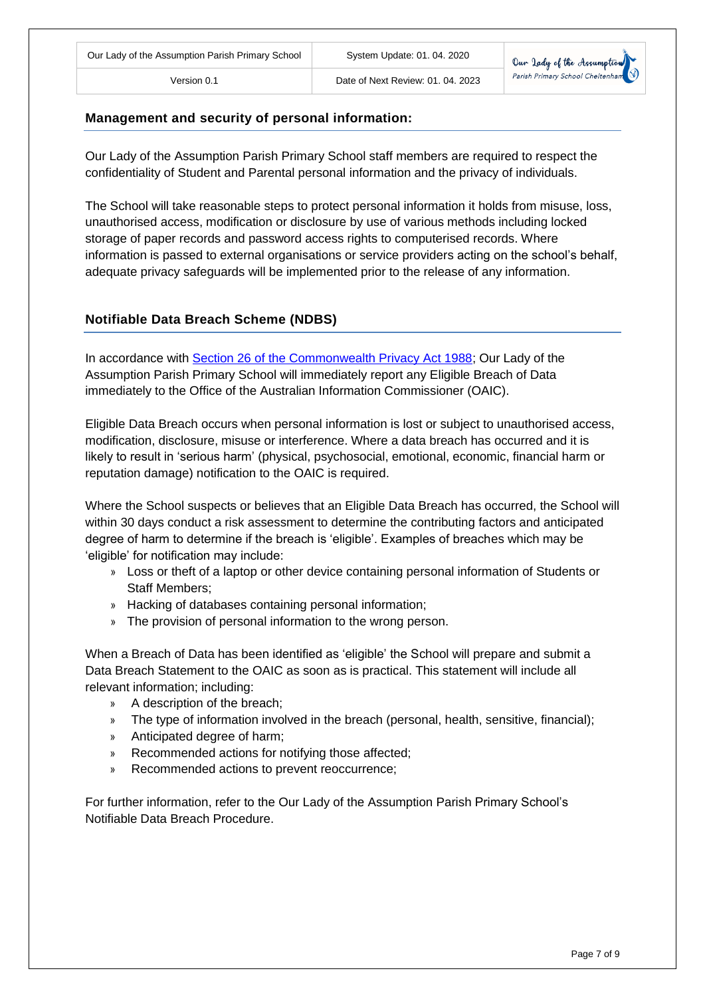

#### **Management and security of personal information:**

Our Lady of the Assumption Parish Primary School staff members are required to respect the confidentiality of Student and Parental personal information and the privacy of individuals.

The School will take reasonable steps to protect personal information it holds from misuse, loss, unauthorised access, modification or disclosure by use of various methods including locked storage of paper records and password access rights to computerised records. Where information is passed to external organisations or service providers acting on the school's behalf, adequate privacy safeguards will be implemented prior to the release of any information.

#### **Notifiable Data Breach Scheme (NDBS)**

In accordance with [Section 26 of the Commonwealth Privacy Act 1988;](http://www8.austlii.edu.au/cgi-bin/viewdoc/au/legis/cth/consol_act/pa1988108/s26wa.html) Our Lady of the Assumption Parish Primary School will immediately report any Eligible Breach of Data immediately to the Office of the Australian Information Commissioner (OAIC).

Eligible Data Breach occurs when personal information is lost or subject to unauthorised access, modification, disclosure, misuse or interference. Where a data breach has occurred and it is likely to result in 'serious harm' (physical, psychosocial, emotional, economic, financial harm or reputation damage) notification to the OAIC is required.

Where the School suspects or believes that an Eligible Data Breach has occurred, the School will within 30 days conduct a risk assessment to determine the contributing factors and anticipated degree of harm to determine if the breach is 'eligible'. Examples of breaches which may be 'eligible' for notification may include:

- » Loss or theft of a laptop or other device containing personal information of Students or Staff Members;
- » Hacking of databases containing personal information;
- » The provision of personal information to the wrong person.

When a Breach of Data has been identified as 'eligible' the School will prepare and submit a Data Breach Statement to the OAIC as soon as is practical. This statement will include all relevant information; including:

- » A description of the breach;
- » The type of information involved in the breach (personal, health, sensitive, financial);
- » Anticipated degree of harm;
- » Recommended actions for notifying those affected;
- » Recommended actions to prevent reoccurrence;

For further information, refer to the Our Lady of the Assumption Parish Primary School's Notifiable Data Breach Procedure.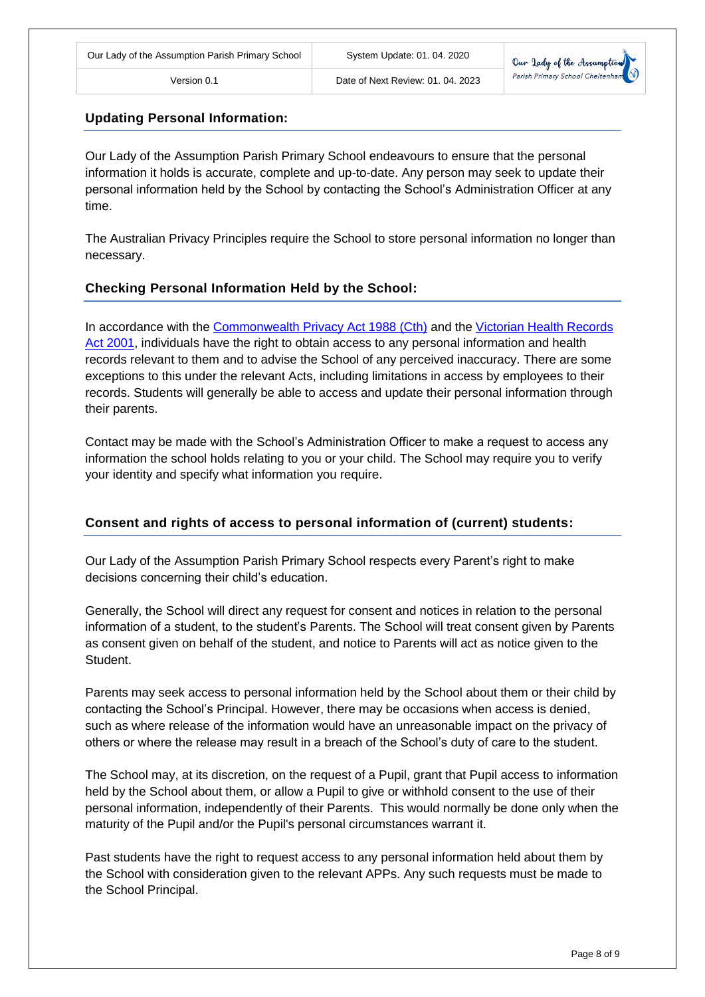

### **Updating Personal Information:**

Our Lady of the Assumption Parish Primary School endeavours to ensure that the personal information it holds is accurate, complete and up-to-date. Any person may seek to update their personal information held by the School by contacting the School's Administration Officer at any time.

The Australian Privacy Principles require the School to store personal information no longer than necessary.

### **Checking Personal Information Held by the School:**

In accordance with the [Commonwealth Privacy Act 1988 \(Cth\)](http://www8.austlii.edu.au/cgi-bin/viewdb/au/legis/cth/consol_act/pa1988108/) and the [Victorian Health Records](http://www8.austlii.edu.au/cgi-bin/viewdb/au/legis/vic/consol_act/hra2001144/)  [Act 2001,](http://www8.austlii.edu.au/cgi-bin/viewdb/au/legis/vic/consol_act/hra2001144/) individuals have the right to obtain access to any personal information and health records relevant to them and to advise the School of any perceived inaccuracy. There are some exceptions to this under the relevant Acts, including limitations in access by employees to their records. Students will generally be able to access and update their personal information through their parents.

Contact may be made with the School's Administration Officer to make a request to access any information the school holds relating to you or your child. The School may require you to verify your identity and specify what information you require.

#### **Consent and rights of access to personal information of (current) students:**

Our Lady of the Assumption Parish Primary School respects every Parent's right to make decisions concerning their child's education.

Generally, the School will direct any request for consent and notices in relation to the personal information of a student, to the student's Parents. The School will treat consent given by Parents as consent given on behalf of the student, and notice to Parents will act as notice given to the Student.

Parents may seek access to personal information held by the School about them or their child by contacting the School's Principal. However, there may be occasions when access is denied, such as where release of the information would have an unreasonable impact on the privacy of others or where the release may result in a breach of the School's duty of care to the student.

The School may, at its discretion, on the request of a Pupil, grant that Pupil access to information held by the School about them, or allow a Pupil to give or withhold consent to the use of their personal information, independently of their Parents. This would normally be done only when the maturity of the Pupil and/or the Pupil's personal circumstances warrant it.

Past students have the right to request access to any personal information held about them by the School with consideration given to the relevant APPs. Any such requests must be made to the School Principal.